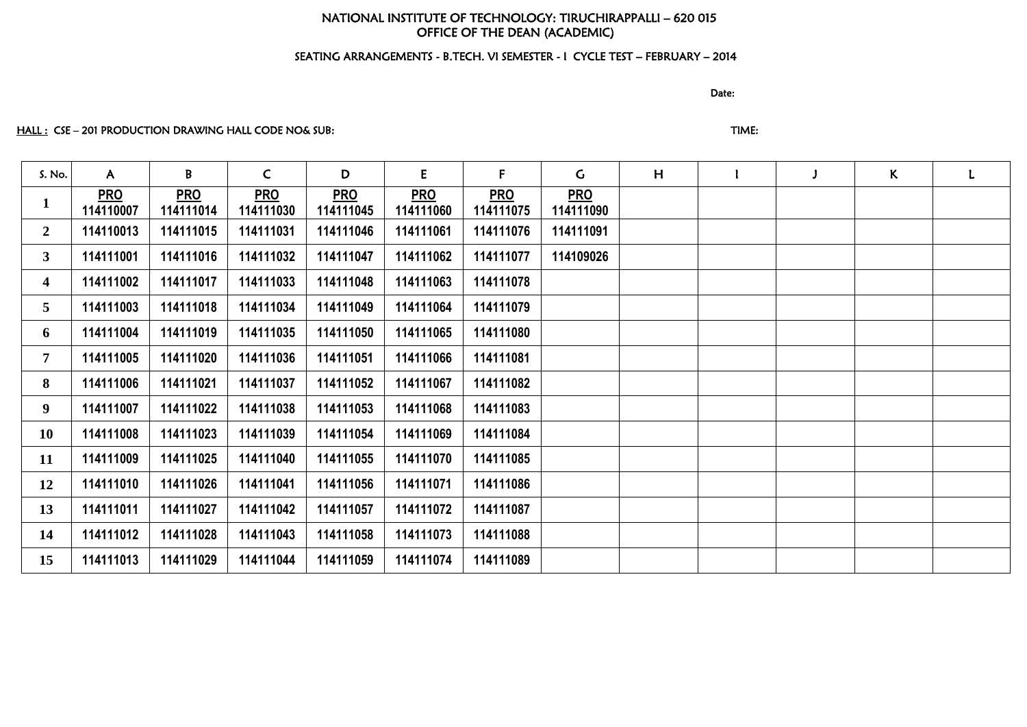# NATIONAL INSTITUTE OF TECHNOLOGY: TIRUCHIRAPPALLI – 620 015 OFFICE OF THE DEAN (ACADEMIC)

## SEATING ARRANGEMENTS - B.TECH. VI SEMESTER - I CYCLE TEST – FEBRUARY – 2014

discussion of the contract of the contract of the Date:

## HALL : CSE – 201 PRODUCTION DRAWING HALL CODE NO& SUB: THE STATE STATE STATE STATE:

| S. No.         | $\mathsf{A}$            | B                       | $\mathsf{C}$            | D                       | E                       | F.                      | $\mathsf{G}$            | H | J | $\mathsf{K}$ | L |
|----------------|-------------------------|-------------------------|-------------------------|-------------------------|-------------------------|-------------------------|-------------------------|---|---|--------------|---|
| $\mathbf{1}$   | <b>PRO</b><br>114110007 | <b>PRO</b><br>114111014 | <b>PRO</b><br>114111030 | <b>PRO</b><br>114111045 | <b>PRO</b><br>114111060 | <b>PRO</b><br>114111075 | <b>PRO</b><br>114111090 |   |   |              |   |
| $\mathbf{2}$   | 114110013               | 114111015               | 114111031               | 114111046               | 114111061               | 114111076               | 114111091               |   |   |              |   |
| 3 <sup>1</sup> | 114111001               | 114111016               | 114111032               | 114111047               | 114111062               | 114111077               | 114109026               |   |   |              |   |
| 4              | 114111002               | 114111017               | 114111033               | 114111048               | 114111063               | 114111078               |                         |   |   |              |   |
| 5              | 114111003               | 114111018               | 114111034               | 114111049               | 114111064               | 114111079               |                         |   |   |              |   |
| 6              | 114111004               | 114111019               | 114111035               | 114111050               | 114111065               | 114111080               |                         |   |   |              |   |
| $7\phantom{.}$ | 114111005               | 114111020               | 114111036               | 114111051               | 114111066               | 114111081               |                         |   |   |              |   |
| 8              | 114111006               | 114111021               | 114111037               | 114111052               | 114111067               | 114111082               |                         |   |   |              |   |
| 9              | 114111007               | 114111022               | 114111038               | 114111053               | 114111068               | 114111083               |                         |   |   |              |   |
| <b>10</b>      | 114111008               | 114111023               | 114111039               | 114111054               | 114111069               | 114111084               |                         |   |   |              |   |
| 11             | 114111009               | 114111025               | 114111040               | 114111055               | 114111070               | 114111085               |                         |   |   |              |   |
| 12             | 114111010               | 114111026               | 114111041               | 114111056               | 114111071               | 114111086               |                         |   |   |              |   |
| 13             | 114111011               | 114111027               | 114111042               | 114111057               | 114111072               | 114111087               |                         |   |   |              |   |
| 14             | 114111012               | 114111028               | 114111043               | 114111058               | 114111073               | 114111088               |                         |   |   |              |   |
| 15             | 114111013               | 114111029               | 114111044               | 114111059               | 114111074               | 114111089               |                         |   |   |              |   |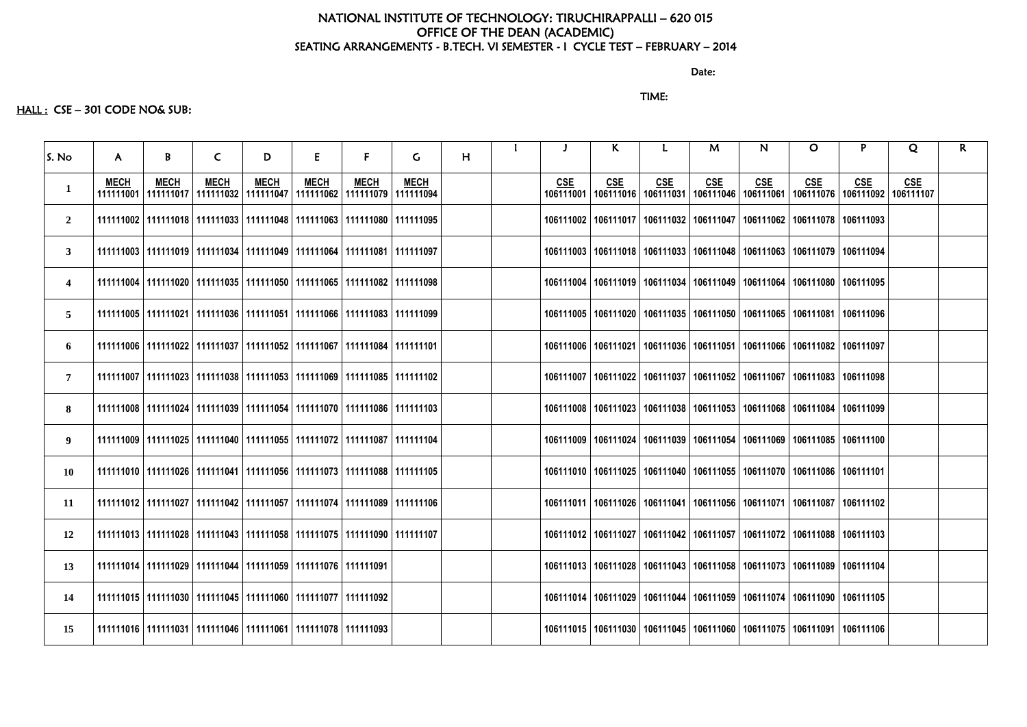discussion of the contract of the contract of the Date:

## TIME:

## HALL : CSE - 301 CODE NO& SUB:

| S. No                   | $\mathsf{A}$             | B           | $\mathsf{C}$ | D           | E                                                                                      | F.          | G.          | H |                         | K.         |                                                                                       | M          | N          | $\mathbf{O}$ | P.         | Q                       | $\mathsf{R}$ |
|-------------------------|--------------------------|-------------|--------------|-------------|----------------------------------------------------------------------------------------|-------------|-------------|---|-------------------------|------------|---------------------------------------------------------------------------------------|------------|------------|--------------|------------|-------------------------|--------------|
| $\mathbf{1}$            | <b>MECH</b><br>111111001 | <b>MECH</b> | <b>MECH</b>  | <b>MECH</b> | <b>MECH</b><br>  111111017   111111032   111111047   111111062   111111079   111111094 | <b>MECH</b> | <b>MECH</b> |   | <b>CSE</b><br>106111001 | <b>CSE</b> | <b>CSE</b><br>  106111016   106111031   106111046   106111061   106111076   106111092 | <b>CSE</b> | <b>CSE</b> | <b>CSE</b>   | <b>CSE</b> | <b>CSE</b><br>106111107 |              |
| $\overline{2}$          |                          |             |              |             | 111111002   111111018   111111033   111111048   111111063   111111080   111111095      |             |             |   |                         |            | 106111002   106111017   106111032   106111047   106111062   106111078   106111093     |            |            |              |            |                         |              |
| $\mathbf{3}$            |                          |             |              |             | 111111003   111111019   111111034   111111049   111111064   111111081   111111097      |             |             |   |                         |            | 106111003   106111018   106111033   106111048   106111063   106111079   106111094     |            |            |              |            |                         |              |
| $\overline{\mathbf{4}}$ |                          |             |              |             | 111111004   111111020   111111035   111111050   111111065   111111082   111111098      |             |             |   |                         |            | 106111004   106111019   106111034   106111049   106111064   106111080   106111095     |            |            |              |            |                         |              |
| 5                       |                          |             |              |             | 111111005   111111021   111111036   111111051   111111066   111111083   111111099      |             |             |   |                         |            | 106111005   106111020   106111035   106111050   106111065   106111081   106111096     |            |            |              |            |                         |              |
| 6                       |                          |             |              |             | 111111006   111111022   111111037   111111052   111111067   111111084   111111101      |             |             |   |                         |            | 106111006   106111021   106111036   106111051   106111066   106111082   106111097     |            |            |              |            |                         |              |
| $\overline{7}$          |                          |             |              |             | 111111007   111111023   111111038   111111053   111111069   111111085   111111102      |             |             |   |                         |            | 106111007   106111022   106111037   106111052   106111067   106111083   106111098     |            |            |              |            |                         |              |
| 8                       |                          |             |              |             | 111111008   111111024   111111039   111111054   111111070   111111086   111111103      |             |             |   |                         |            | 106111008   106111023   106111038   106111053   106111068   106111084   106111099     |            |            |              |            |                         |              |
| 9                       |                          |             |              |             | 111111009   111111025   111111040   111111055   111111072   111111087   111111104      |             |             |   |                         |            | 106111009   106111024   106111039   106111054   106111069   106111085   106111100     |            |            |              |            |                         |              |
| <b>10</b>               |                          |             |              |             | 111111026   111111024   111111041   111111056   111111073   111111088   111111105      |             |             |   |                         |            | 106111010   106111025   106111040   106111055   106111070   106111086   106111101     |            |            |              |            |                         |              |
| 11                      |                          |             |              |             | 11111102   111111027   111111042   111111057   111111074   111111089   111111106       |             |             |   |                         |            | 106111011   106111026   106111041   106111056   106111071   106111087   106111102     |            |            |              |            |                         |              |
| 12                      |                          |             |              |             | 111111013   111111028   111111043   111111058   111111075   111111090   111111107      |             |             |   |                         |            | 106111012   106111027   106111042   106111057   106111072   106111088   106111103     |            |            |              |            |                         |              |
| 13                      |                          |             |              |             | 111111014   111111029   111111044   111111059   111111076   111111091                  |             |             |   |                         |            | 106111013   106111028   106111043   106111058   106111073   106111089   106111104     |            |            |              |            |                         |              |
| 14                      |                          |             |              |             | 111111015   111111030   111111045   111111060   111111077   111111092                  |             |             |   |                         |            | 106111014   106111029   106111044   106111059   106111074   106111090   106111105     |            |            |              |            |                         |              |
| 15                      |                          |             |              |             | 111111016   111111031   111111046   111111061   111111078   111111093                  |             |             |   |                         |            | 106111015   106111030   106111045   106111060   106111075   106111091   106111106     |            |            |              |            |                         |              |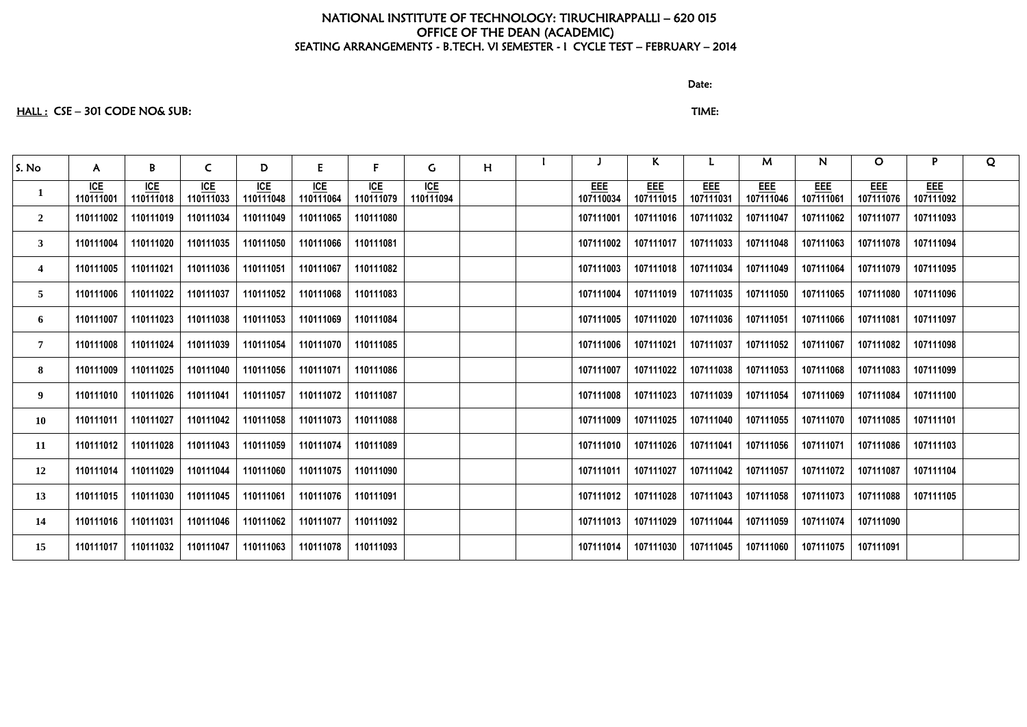### discussion of the contract of the contract of the Date:

# HALL : CSE – 301 CODE NO& SUB: TIME:

| S. No                   | $\mathsf{A}$     | B                | $\mathsf{C}$            | D                | E                | F                        | $\mathsf{G}$            | H |                  | K                       | L.                      | M                       | N                       | $\mathbf{O}$            | P                       | Q |
|-------------------------|------------------|------------------|-------------------------|------------------|------------------|--------------------------|-------------------------|---|------------------|-------------------------|-------------------------|-------------------------|-------------------------|-------------------------|-------------------------|---|
| $\mathbf{1}$            | ICE<br>110111001 | ICE<br>110111018 | <u>ICE</u><br>110111033 | ICE<br>110111048 | ICE<br>110111064 | I <u>CE</u><br>110111079 | <b>ICE</b><br>110111094 |   | EEE<br>107110034 | <u>EEE</u><br>107111015 | <b>EEE</b><br>107111031 | <b>EEE</b><br>107111046 | <b>EEE</b><br>107111061 | <b>EEE</b><br>107111076 | <b>EEE</b><br>107111092 |   |
| $\overline{2}$          | 110111002        | 110111019        | 110111034               | 110111049        | 110111065        | 110111080                |                         |   | 107111001        | 107111016               | 107111032               | 107111047               | 107111062               | 107111077               | 107111093               |   |
| 3 <sup>1</sup>          | 110111004        | 110111020        | 110111035               | 110111050        | 110111066        | 110111081                |                         |   | 107111002        | 107111017               | 107111033               | 107111048               | 107111063               | 107111078               | 107111094               |   |
| $\overline{\mathbf{4}}$ | 110111005        | 110111021        | 110111036               | 110111051        | 110111067        | 110111082                |                         |   | 107111003        | 107111018               | 107111034               | 107111049               | 107111064               | 107111079               | 107111095               |   |
| 5 <sup>5</sup>          | 110111006        | 110111022        | 110111037               | 110111052        | 110111068        | 110111083                |                         |   | 107111004        | 107111019               | 107111035               | 107111050               | 107111065               | 107111080               | 107111096               |   |
| 6                       | 110111007        | 110111023        | 110111038               | 110111053        | 110111069        | 110111084                |                         |   | 107111005        | 107111020               | 107111036               | 107111051               | 107111066               | 107111081               | 107111097               |   |
| $\overline{7}$          | 110111008        | 110111024        | 110111039               | 110111054        | 110111070        | 110111085                |                         |   | 107111006        | 107111021               | 107111037               | 107111052               | 107111067               | 107111082               | 107111098               |   |
| 8                       | 110111009        | 110111025        | 110111040               | 110111056        | 110111071        | 110111086                |                         |   | 107111007        | 107111022               | 107111038               | 107111053               | 107111068               | 107111083               | 107111099               |   |
| 9                       | 110111010        | 110111026        | 110111041               | 110111057        | 110111072        | 110111087                |                         |   | 107111008        | 107111023               | 107111039               | 107111054               | 107111069               | 107111084               | 107111100               |   |
| 10                      | 110111011        | 110111027        | 110111042               | 110111058        | 110111073        | 110111088                |                         |   | 107111009        | 107111025               | 107111040               | 107111055               | 107111070               | 107111085               | 107111101               |   |
| 11                      | 110111012        | 110111028        | 110111043               | 110111059        | 110111074        | 110111089                |                         |   | 107111010        | 107111026               | 107111041               | 107111056               | 107111071               | 107111086               | 107111103               |   |
| 12                      | 110111014        | 110111029        | 110111044               | 110111060        | 110111075        | 110111090                |                         |   | 107111011        | 107111027               | 107111042               | 107111057               | 107111072               | 107111087               | 107111104               |   |
| 13                      | 110111015        | 110111030        | 110111045               | 110111061        | 110111076        | 110111091                |                         |   | 107111012        | 107111028               | 107111043               | 107111058               | 107111073               | 107111088               | 107111105               |   |
| 14                      | 110111016        | 110111031        | 110111046               | 110111062        | 110111077        | 110111092                |                         |   | 107111013        | 107111029               | 107111044               | 107111059               | 107111074               | 107111090               |                         |   |
| 15                      | 110111017        | 110111032        | 110111047               | 110111063        | 110111078        | 110111093                |                         |   | 107111014        | 107111030               | 107111045               | 107111060               | 107111075               | 107111091               |                         |   |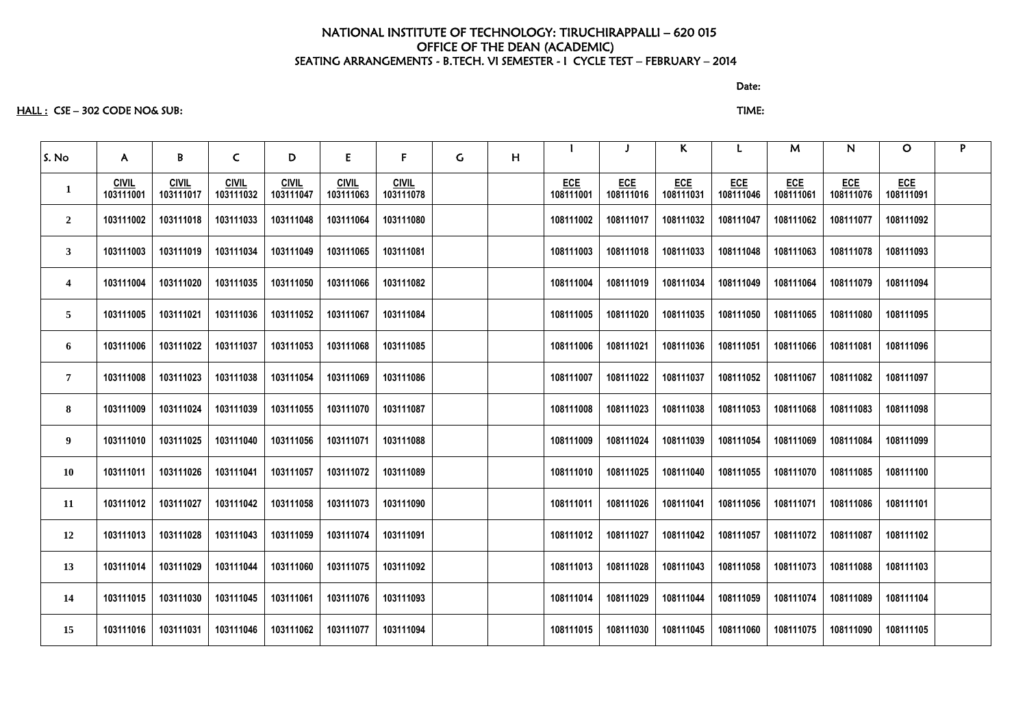HALL : CSE – 302 CODE NO& SUB: TIME:

S. No | A | B | C | D | E | F | G | H I J K L M N O P **1 CIVIL 103111001 CIVIL 103111017 CIVIL 103111032 CIVIL 103111047 CIVIL 103111063 CIVIL 103111078 ECE 108111001 ECE 108111016 ECE 108111031 ECE 108111046** 2 | 103111002 | 103111018 | 103111033 | 103111048 | 103111064 | 103111080 | | | 108111002 | 108111017 | 108111032 | 108111047 | 108111062 | 108111077 | 108111092 3 | 103111003 | 103111019 | 103111034 | 103111049 | 103111065 | 103111081 | | | 108111003 | 108111018 | 108111033 | 108111048 | 108111063 | 108111078 | 108111093 4 | 103111004 | 103111020 | 103111035 | 103111050 | 103111066 | 103111082 | | 108111004 | 108111019 | 108111034 | 108111049 | 108111064 | 108111079 | 108111094 5 | 103111005 | 103111021 | 103111036 | 103111052 | 103111067 | 103111084 | | 108111005 | 108111020 | 108111035 | 108111050 | 108111065 | 108111080 | 108111095 6 | 103111006 | 103111022 | 103111037 | 103111053 | 103111068 | 103111085 | | | 108111006 | 108111021 | 108111036 | 108111051 | 108111066 | 108111081 | 108111096 7 | 103111008 | 103111023 | 103111038 | 103111054 | 103111069 | 103111086 | | 108111007 | 108111022 | 108111037 | 108111052 | 108111067 | 108111082 | 108111097 8 | 103111009 | 103111024 | 103111039 | 103111055 | 103111070 | 103111087 | | | 108111008 | 108111023 | 108111038 | 108111053 | 108111068 | 108111083 | 108111098 9 | 103111010 | 103111025 | 103111040 | 103111056 | 103111071 | 103111088 | | | 108111009 | 108111024 | 108111039 | 108111054 | 108111069 | 108111084 | 108111099 10 | 103111011 | 103111026 | 103111041 | 103111057 | 103111072 | 103111089 | | | 108111010 | 108111025 | 108111040 | 108111055 | 108111070 | 108111085 | 108111100 11 | 103111012 | 103111027 | 103111042 | 103111058 | 103111073 | 103111090 | | | 108111011 | 108111026 | 108111041 | 108111056 | 108111071 | 108111086 | 108111101 12 | 103111013 | 103111028 | 103111043 | 103111059 | 103111074 | 103111091 | | | 108111012 | 108111027 | 108111042 | 108111057 | 108111072 | 108111087 | 108111102 13 | 103111014 | 103111029 | 103111044 | 103111060 | 103111075 | 103111092 | | | 108111013 | 108111028 | 108111043 | 108111058 | 108111073 | 108111088 | 108111103 14 | 103111015 | 103111030 | 103111045 | 103111061 | 103111076 | 103111093 | | | 108111014 | 108111029 | 108111044 | 108111059 | 108111074 | 108111089 | 108111104 15 | 103111016 | 103111031 | 103111046 | 103111062 | 103111077 | 103111094 | | 108111015 | 108111030 | 108111045 | 108111060 | 108111075 | 108111090 | 108111105

discussion of the contract of the contract of the contract of the contract of the contract of the contract of the contract of the contract of the contract of the contract of the contract of the contract of the contract of

| M                       | N                       | O                       | P |
|-------------------------|-------------------------|-------------------------|---|
| <b>ECE</b><br>108111061 | <b>ECE</b><br>108111076 | <b>ECE</b><br>108111091 |   |
| 108111062               | 108111077               | 108111092               |   |
| 108111063               | 108111078               | 108111093               |   |
| 108111064               | 108111079               | 108111094               |   |
| 108111065               | 108111080               | 108111095               |   |
| 108111066               | 108111081               | 108111096               |   |
| 108111067               | 108111082               | 108111097               |   |
| 108111068               | 108111083               | 108111098               |   |
| 108111069               | 108111084               | 108111099               |   |
| 108111070               | 108111085               | 108111100               |   |
| 108111071               | 108111086               | 108111101               |   |
| 108111072               | 108111087               | 108111102               |   |
| 108111073               | 108111088               | 108111103               |   |
| 108111074               | 108111089               | 108111104               |   |
| 108111075               | 108111090               | 108111105               |   |